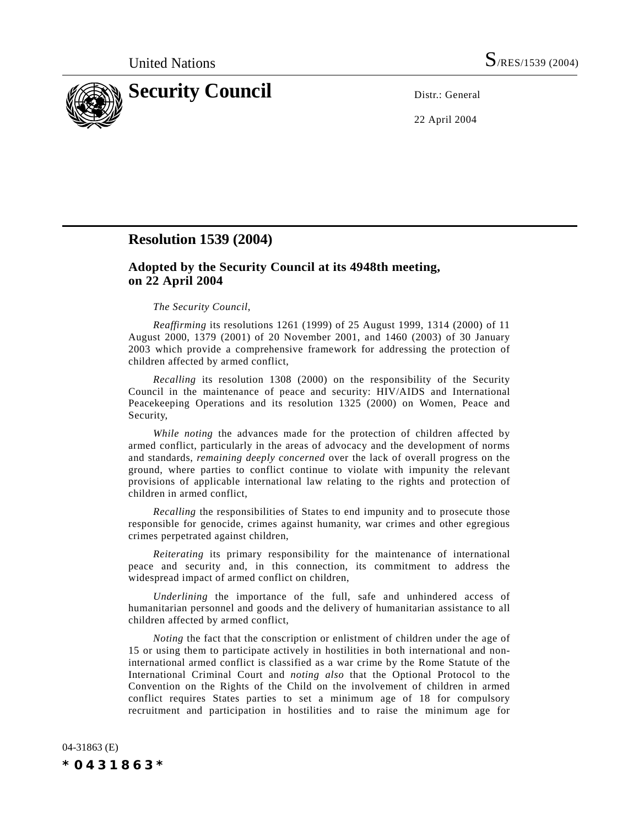

22 April 2004

## **Resolution 1539 (2004)**

## **Adopted by the Security Council at its 4948th meeting, on 22 April 2004**

## *The Security Council*,

*Reaffirming* its resolutions 1261 (1999) of 25 August 1999, 1314 (2000) of 11 August 2000, 1379 (2001) of 20 November 2001, and 1460 (2003) of 30 January 2003 which provide a comprehensive framework for addressing the protection of children affected by armed conflict,

*Recalling* its resolution 1308 (2000) on the responsibility of the Security Council in the maintenance of peace and security: HIV/AIDS and International Peacekeeping Operations and its resolution 1325 (2000) on Women, Peace and Security,

*While noting* the advances made for the protection of children affected by armed conflict, particularly in the areas of advocacy and the development of norms and standards, *remaining deeply concerned* over the lack of overall progress on the ground, where parties to conflict continue to violate with impunity the relevant provisions of applicable international law relating to the rights and protection of children in armed conflict,

*Recalling* the responsibilities of States to end impunity and to prosecute those responsible for genocide, crimes against humanity, war crimes and other egregious crimes perpetrated against children,

*Reiterating* its primary responsibility for the maintenance of international peace and security and, in this connection, its commitment to address the widespread impact of armed conflict on children,

*Underlining* the importance of the full, safe and unhindered access of humanitarian personnel and goods and the delivery of humanitarian assistance to all children affected by armed conflict,

*Noting* the fact that the conscription or enlistment of children under the age of 15 or using them to participate actively in hostilities in both international and noninternational armed conflict is classified as a war crime by the Rome Statute of the International Criminal Court and *noting also* that the Optional Protocol to the Convention on the Rights of the Child on the involvement of children in armed conflict requires States parties to set a minimum age of 18 for compulsory recruitment and participation in hostilities and to raise the minimum age for

04-31863 (E) *\*0431863\**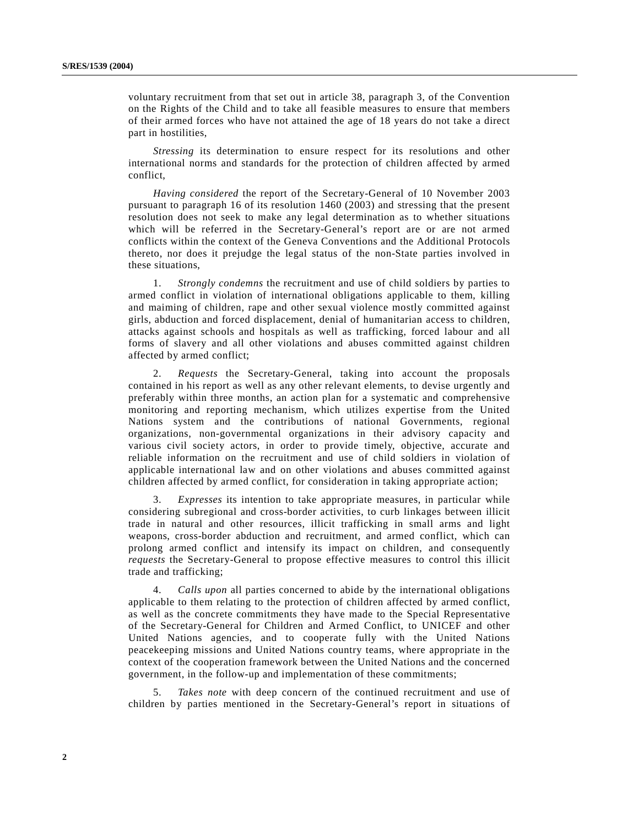voluntary recruitment from that set out in article 38, paragraph 3, of the Convention on the Rights of the Child and to take all feasible measures to ensure that members of their armed forces who have not attained the age of 18 years do not take a direct part in hostilities,

*Stressing* its determination to ensure respect for its resolutions and other international norms and standards for the protection of children affected by armed conflict,

*Having considered* the report of the Secretary-General of 10 November 2003 pursuant to paragraph 16 of its resolution 1460 (2003) and stressing that the present resolution does not seek to make any legal determination as to whether situations which will be referred in the Secretary-General's report are or are not armed conflicts within the context of the Geneva Conventions and the Additional Protocols thereto, nor does it prejudge the legal status of the non-State parties involved in these situations,

1. *Strongly condemns* the recruitment and use of child soldiers by parties to armed conflict in violation of international obligations applicable to them, killing and maiming of children, rape and other sexual violence mostly committed against girls, abduction and forced displacement, denial of humanitarian access to children, attacks against schools and hospitals as well as trafficking, forced labour and all forms of slavery and all other violations and abuses committed against children affected by armed conflict;

2. *Requests* the Secretary-General, taking into account the proposals contained in his report as well as any other relevant elements, to devise urgently and preferably within three months, an action plan for a systematic and comprehensive monitoring and reporting mechanism, which utilizes expertise from the United Nations system and the contributions of national Governments, regional organizations, non-governmental organizations in their advisory capacity and various civil society actors, in order to provide timely, objective, accurate and reliable information on the recruitment and use of child soldiers in violation of applicable international law and on other violations and abuses committed against children affected by armed conflict, for consideration in taking appropriate action;

3. *Expresses* its intention to take appropriate measures, in particular while considering subregional and cross-border activities, to curb linkages between illicit trade in natural and other resources, illicit trafficking in small arms and light weapons, cross-border abduction and recruitment, and armed conflict, which can prolong armed conflict and intensify its impact on children, and consequently *requests* the Secretary-General to propose effective measures to control this illicit trade and trafficking;

4. *Calls upon* all parties concerned to abide by the international obligations applicable to them relating to the protection of children affected by armed conflict, as well as the concrete commitments they have made to the Special Representative of the Secretary-General for Children and Armed Conflict, to UNICEF and other United Nations agencies, and to cooperate fully with the United Nations peacekeeping missions and United Nations country teams, where appropriate in the context of the cooperation framework between the United Nations and the concerned government, in the follow-up and implementation of these commitments;

5. *Takes note* with deep concern of the continued recruitment and use of children by parties mentioned in the Secretary-General's report in situations of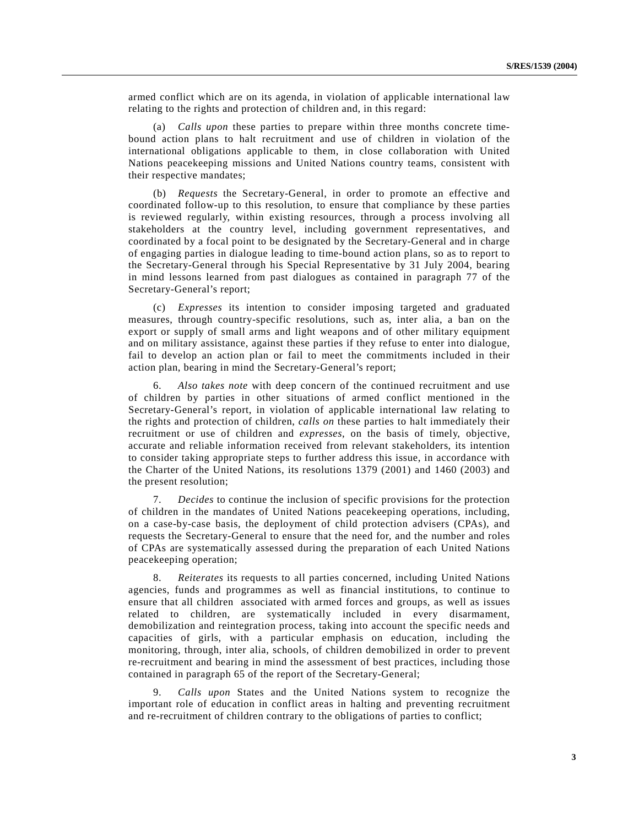armed conflict which are on its agenda, in violation of applicable international law relating to the rights and protection of children and, in this regard:

(a) *Calls upon* these parties to prepare within three months concrete timebound action plans to halt recruitment and use of children in violation of the international obligations applicable to them, in close collaboration with United Nations peacekeeping missions and United Nations country teams, consistent with their respective mandates;

(b) *Requests* the Secretary-General, in order to promote an effective and coordinated follow-up to this resolution, to ensure that compliance by these parties is reviewed regularly, within existing resources, through a process involving all stakeholders at the country level, including government representatives, and coordinated by a focal point to be designated by the Secretary-General and in charge of engaging parties in dialogue leading to time-bound action plans, so as to report to the Secretary-General through his Special Representative by 31 July 2004, bearing in mind lessons learned from past dialogues as contained in paragraph 77 of the Secretary-General's report;

(c) *Expresses* its intention to consider imposing targeted and graduated measures, through country-specific resolutions, such as, inter alia, a ban on the export or supply of small arms and light weapons and of other military equipment and on military assistance, against these parties if they refuse to enter into dialogue, fail to develop an action plan or fail to meet the commitments included in their action plan, bearing in mind the Secretary-General's report;

6. *Also takes note* with deep concern of the continued recruitment and use of children by parties in other situations of armed conflict mentioned in the Secretary-General's report, in violation of applicable international law relating to the rights and protection of children, *calls on* these parties to halt immediately their recruitment or use of children and *expresses*, on the basis of timely, objective, accurate and reliable information received from relevant stakeholders, its intention to consider taking appropriate steps to further address this issue, in accordance with the Charter of the United Nations, its resolutions 1379 (2001) and 1460 (2003) and the present resolution;

7. *Decides* to continue the inclusion of specific provisions for the protection of children in the mandates of United Nations peacekeeping operations, including, on a case-by-case basis, the deployment of child protection advisers (CPAs), and requests the Secretary-General to ensure that the need for, and the number and roles of CPAs are systematically assessed during the preparation of each United Nations peacekeeping operation;

8. *Reiterates* its requests to all parties concerned, including United Nations agencies, funds and programmes as well as financial institutions, to continue to ensure that all children associated with armed forces and groups, as well as issues related to children, are systematically included in every disarmament, demobilization and reintegration process, taking into account the specific needs and capacities of girls, with a particular emphasis on education, including the monitoring, through, inter alia, schools, of children demobilized in order to prevent re-recruitment and bearing in mind the assessment of best practices, including those contained in paragraph 65 of the report of the Secretary-General;

9. *Calls upon* States and the United Nations system to recognize the important role of education in conflict areas in halting and preventing recruitment and re-recruitment of children contrary to the obligations of parties to conflict;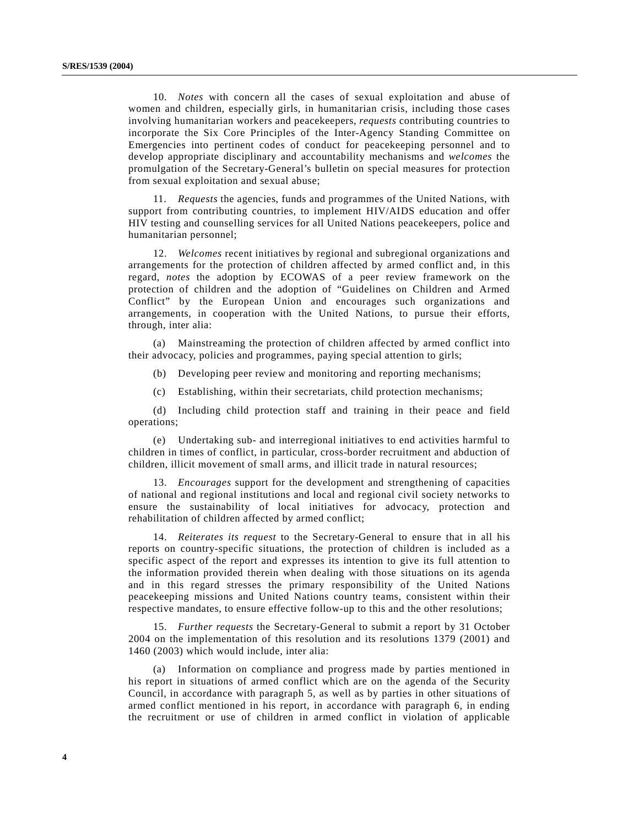10. *Notes* with concern all the cases of sexual exploitation and abuse of women and children, especially girls, in humanitarian crisis, including those cases involving humanitarian workers and peacekeepers, *requests* contributing countries to incorporate the Six Core Principles of the Inter-Agency Standing Committee on Emergencies into pertinent codes of conduct for peacekeeping personnel and to develop appropriate disciplinary and accountability mechanisms and *welcomes* the promulgation of the Secretary-General's bulletin on special measures for protection from sexual exploitation and sexual abuse;

11. *Requests* the agencies, funds and programmes of the United Nations, with support from contributing countries, to implement HIV/AIDS education and offer HIV testing and counselling services for all United Nations peacekeepers, police and humanitarian personnel;

12. *Welcomes* recent initiatives by regional and subregional organizations and arrangements for the protection of children affected by armed conflict and, in this regard, *notes* the adoption by ECOWAS of a peer review framework on the protection of children and the adoption of "Guidelines on Children and Armed Conflict" by the European Union and encourages such organizations and arrangements, in cooperation with the United Nations, to pursue their efforts, through, inter alia:

(a) Mainstreaming the protection of children affected by armed conflict into their advocacy, policies and programmes, paying special attention to girls;

(b) Developing peer review and monitoring and reporting mechanisms;

(c) Establishing, within their secretariats, child protection mechanisms;

(d) Including child protection staff and training in their peace and field operations;

(e) Undertaking sub- and interregional initiatives to end activities harmful to children in times of conflict, in particular, cross-border recruitment and abduction of children, illicit movement of small arms, and illicit trade in natural resources;

13. *Encourages* support for the development and strengthening of capacities of national and regional institutions and local and regional civil society networks to ensure the sustainability of local initiatives for advocacy, protection and rehabilitation of children affected by armed conflict;

14. *Reiterates its request* to the Secretary-General to ensure that in all his reports on country-specific situations, the protection of children is included as a specific aspect of the report and expresses its intention to give its full attention to the information provided therein when dealing with those situations on its agenda and in this regard stresses the primary responsibility of the United Nations peacekeeping missions and United Nations country teams, consistent within their respective mandates, to ensure effective follow-up to this and the other resolutions;

15. *Further requests* the Secretary-General to submit a report by 31 October 2004 on the implementation of this resolution and its resolutions 1379 (2001) and 1460 (2003) which would include, inter alia:

(a) Information on compliance and progress made by parties mentioned in his report in situations of armed conflict which are on the agenda of the Security Council, in accordance with paragraph 5, as well as by parties in other situations of armed conflict mentioned in his report, in accordance with paragraph 6, in ending the recruitment or use of children in armed conflict in violation of applicable